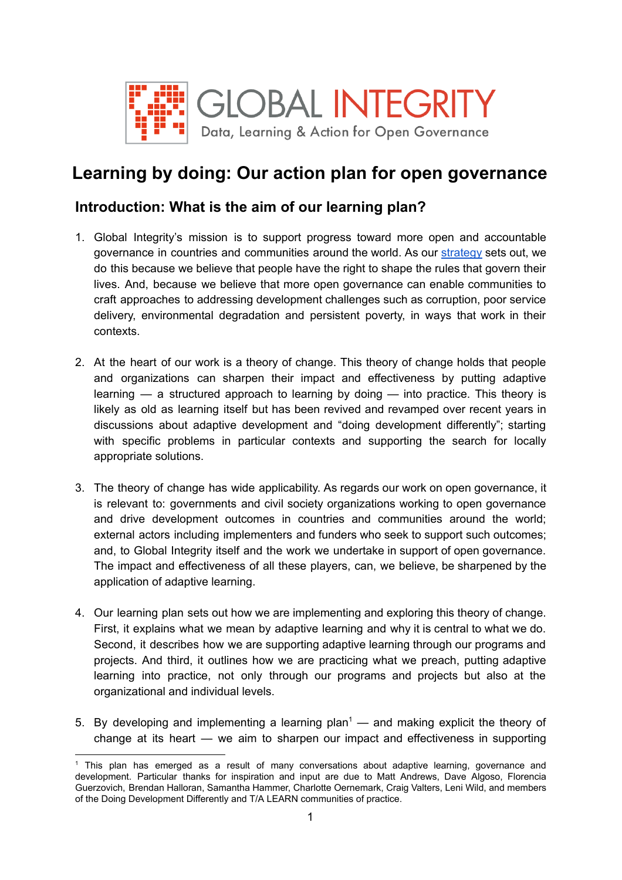

# **Learning by doing: Our action plan for open governance**

### **Introduction: What is the aim of our learning plan?**

- 1. Global Integrity's mission is to support progress toward more open and accountable governance in countries and communities around the world. As our [strategy](https://www.globalintegrity.org/wp-content/uploads/2015/11/2-pager-2015.11.16-Strategy.pdf) sets out, we do this because we believe that people have the right to shape the rules that govern their lives. And, because we believe that more open governance can enable communities to craft approaches to addressing development challenges such as corruption, poor service delivery, environmental degradation and persistent poverty, in ways that work in their contexts.
- 2. At the heart of our work is a theory of change. This theory of change holds that people and organizations can sharpen their impact and effectiveness by putting adaptive learning — a structured approach to learning by doing — into practice. This theory is likely as old as learning itself but has been revived and revamped over recent years in discussions about adaptive development and "doing development differently"; starting with specific problems in particular contexts and supporting the search for locally appropriate solutions.
- 3. The theory of change has wide applicability. As regards our work on open governance, it is relevant to: governments and civil society organizations working to open governance and drive development outcomes in countries and communities around the world; external actors including implementers and funders who seek to support such outcomes; and, to Global Integrity itself and the work we undertake in support of open governance. The impact and effectiveness of all these players, can, we believe, be sharpened by the application of adaptive learning.
- 4. Our learning plan sets out how we are implementing and exploring this theory of change. First, it explains what we mean by adaptive learning and why it is central to what we do. Second, it describes how we are supporting adaptive learning through our programs and projects. And third, it outlines how we are practicing what we preach, putting adaptive learning into practice, not only through our programs and projects but also at the organizational and individual levels.
- 5. By developing and implementing a learning plan<sup>1</sup> and making explicit the theory of change at its heart — we aim to sharpen our impact and effectiveness in supporting

 $<sup>1</sup>$  This plan has emerged as a result of many conversations about adaptive learning, governance and</sup> development. Particular thanks for inspiration and input are due to Matt Andrews, Dave Algoso, Florencia Guerzovich, Brendan Halloran, Samantha Hammer, Charlotte Oernemark, Craig Valters, Leni Wild, and members of the Doing Development Differently and T/A LEARN communities of practice.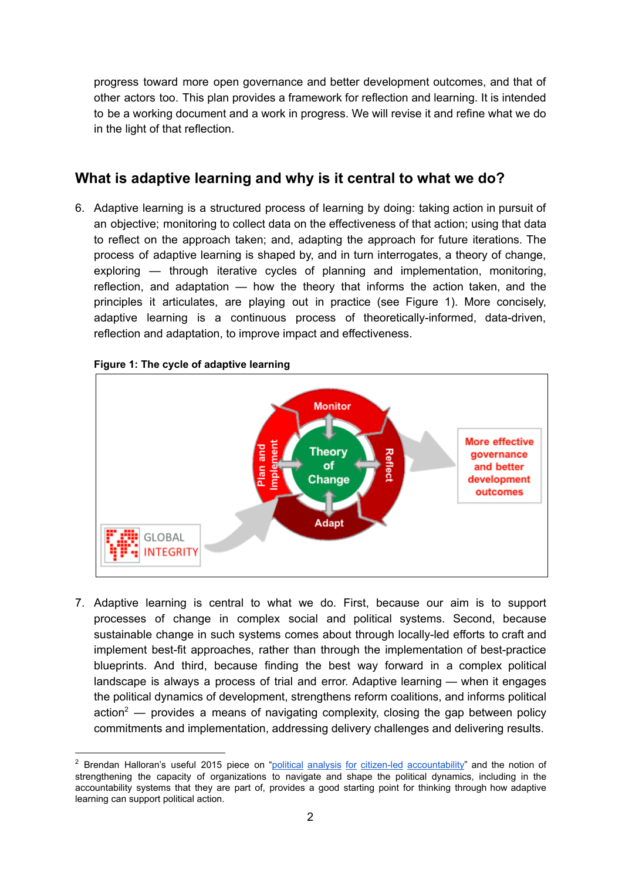progress toward more open governance and better development outcomes, and that of other actors too. This plan provides a framework for reflection and learning. It is intended to be a working document and a work in progress. We will revise it and refine what we do in the light of that reflection.

# **What is adaptive learning and why is it central to what we do?**

6. Adaptive learning is a structured process of learning by doing: taking action in pursuit of an objective; monitoring to collect data on the effectiveness of that action; using that data to reflect on the approach taken; and, adapting the approach for future iterations. The process of adaptive learning is shaped by, and in turn interrogates, a theory of change, exploring — through iterative cycles of planning and implementation, monitoring, reflection, and adaptation — how the theory that informs the action taken, and the principles it articulates, are playing out in practice (see Figure 1). More concisely, adaptive learning is a continuous process of theoretically-informed, data-driven, reflection and adaptation, to improve impact and effectiveness.



**Figure 1: The cycle of adaptive learning**

7. Adaptive learning is central to what we do. First, because our aim is to support processes of change in complex social and political systems. Second, because sustainable change in such systems comes about through locally-led efforts to craft and implement best-fit approaches, rather than through the implementation of best-practice blueprints. And third, because finding the best way forward in a complex political landscape is always a process of trial and error. Adaptive learning — when it engages the political dynamics of development, strengthens reform coalitions, and informs political action<sup>2</sup> — provides a means of navigating complexity, closing the gap between policy commitments and implementation, addressing delivery challenges and delivering results.

<sup>&</sup>lt;sup>2</sup> Brendan Halloran's useful 2015 piece on "political analysis for citizen-led [accountability](https://politicsgovernancedevelopment.wordpress.com/2015/06/09/political-analysis-for-citizen-led-accountability/)" and the notion of strengthening the capacity of organizations to navigate and shape the political dynamics, including in the accountability systems that they are part of, provides a good starting point for thinking through how adaptive learning can support political action.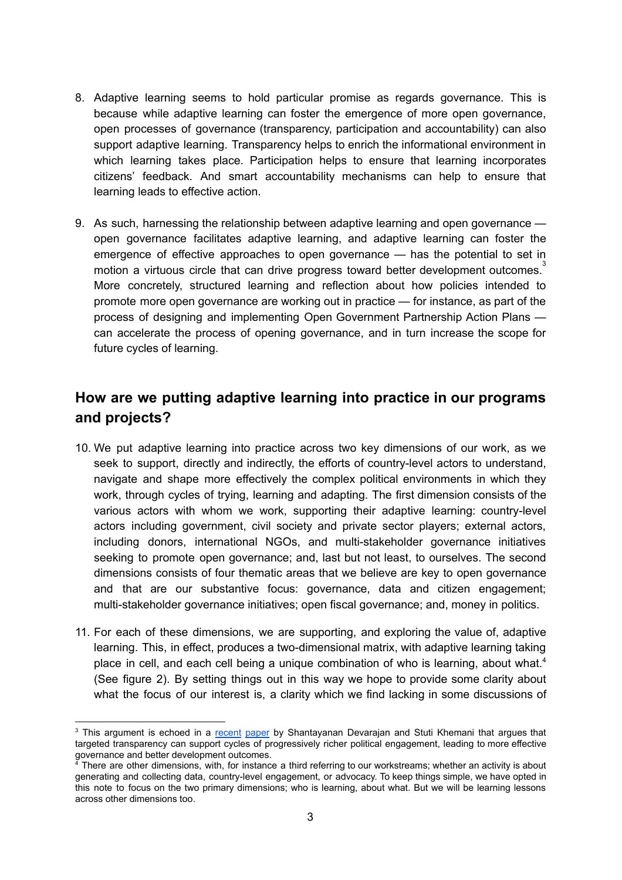- 8. Adaptive learning seems to hold particular promise as regards governance. This is because while adaptive learning can foster the emergence of more open governance, open processes of governance (transparency, participation and accountability) can also support adaptive learning. Transparency helps to enrich the informational environment in which learning takes place. Participation helps to ensure that learning incorporates citizens' feedback. And smart accountability mechanisms can help to ensure that learning leads to effective action.
- 9. As such, harnessing the relationship between adaptive learning and open governance open governance facilitates adaptive learning, and adaptive learning can foster the emergence of effective approaches to open governance — has the potential to set in motion a virtuous circle that can drive progress toward better development outcomes.<sup>3</sup> More concretely, structured learning and reflection about how policies intended to promote more open governance are working out in practice — for instance, as part of the process of designing and implementing Open Government Partnership Action Plans can accelerate the process of opening governance, and in turn increase the scope for future cycles of learning.

## **How are we putting adaptive learning into practice in our programs and projects?**

- 10. We put adaptive learning into practice across two key dimensions of our work, as we seek to support, directly and indirectly, the efforts of countrylevel actors to understand, navigate and shape more effectively the complex political environments in which they work, through cycles of trying, learning and adapting. The first dimension consists of the various actors with whom we work, supporting their adaptive learning: countrylevel actors including government, civil society and private sector players; external actors, including donors, international NGOs, and multi-stakeholder governance initiatives seeking to promote open governance; and, last but not least, to ourselves. The second dimensions consists of four thematic areas that we believe are key to open governance and that are our substantive focus: governance, data and citizen engagement; multi-stakeholder governance initiatives; open fiscal governance; and, money in politics.
- 11. For each of these dimensions, we are supporting, and exploring the value of, adaptive learning. This, in effect, produces a two-dimensional matrix, with adaptive learning taking place in cell, and each cell being a unique combination of who is learning, about what.<sup>4</sup> (See figure 2). By setting things out in this way we hope to provide some clarity about what the focus of our interest is, a clarity which we find lacking in some discussions of

<sup>&</sup>lt;sup>3</sup> This argument is echoed in a [recent](http://documents.worldbank.org/curated/en/906091469456194816/pdf/WPS7761.pdf) paper by Shantayanan Devarajan and Stuti Khemani that argues that targeted transparency can support cycles of progressively richer political engagement, leading to more effective governance and better development outcomes.

 $4$  There are other dimensions, with, for instance a third referring to our workstreams; whether an activity is about generating and collecting data, countrylevel engagement, or advocacy. To keep things simple, we have opted in this note to focus on the two primary dimensions; who is learning, about what. But we will be learning lessons across other dimensions too.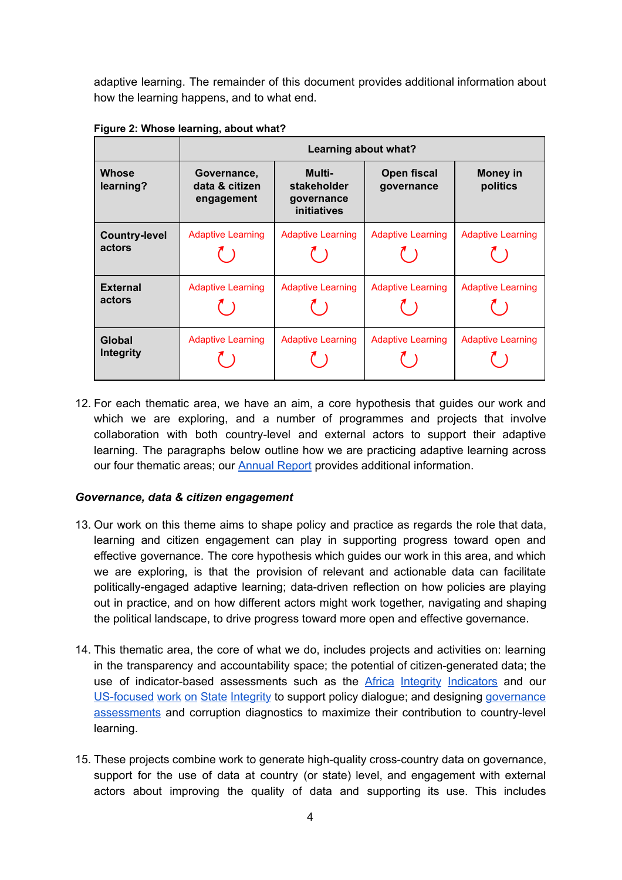adaptive learning. The remainder of this document provides additional information about how the learning happens, and to what end.

|                                | Learning about what?                        |                                                    |                           |                             |
|--------------------------------|---------------------------------------------|----------------------------------------------------|---------------------------|-----------------------------|
| Whose<br>learning?             | Governance,<br>data & citizen<br>engagement | Multi-<br>stakeholder<br>governance<br>initiatives | Open fiscal<br>governance | <b>Money in</b><br>politics |
| <b>Country-level</b><br>actors | <b>Adaptive Learning</b>                    | <b>Adaptive Learning</b>                           | <b>Adaptive Learning</b>  | <b>Adaptive Learning</b>    |
| <b>External</b><br>actors      | <b>Adaptive Learning</b>                    | <b>Adaptive Learning</b>                           | <b>Adaptive Learning</b>  | <b>Adaptive Learning</b>    |
| Global<br>Integrity            | <b>Adaptive Learning</b>                    | <b>Adaptive Learning</b>                           | <b>Adaptive Learning</b>  | <b>Adaptive Learning</b>    |

**Figure 2: Whose learning, about what?**

12. For each thematic area, we have an aim, a core hypothesis that guides our work and which we are exploring, and a number of programmes and projects that involve collaboration with both country-level and external actors to support their adaptive learning. The paragraphs below outline how we are practicing adaptive learning across our four thematic areas; our **[Annual](http://www.globalintegrity.org/wp-content/uploads/2016/04/Global-Integrity-Annual-Report-2015-2016.pdf) Report** provides additional information.

### *Governance, data & citizen engagement*

- 13. Our work on this theme aims to shape policy and practice as regards the role that data, learning and citizen engagement can play in supporting progress toward open and effective governance. The core hypothesis which guides our work in this area, and which we are exploring, is that the provision of relevant and actionable data can facilitate politically-engaged adaptive learning; data-driven reflection on how policies are playing out in practice, and on how different actors might work together, navigating and shaping the political landscape, to drive progress toward more open and effective governance.
- 14. This thematic area, the core of what we do, includes projects and activities on: learning in the transparency and accountability space; the potential of citizen-generated data; the use of indicator-based assessments such as the Africa Integrity [Indicators](https://www.globalintegrity.org/2016/04/fourth-round-africa-integrity-indicators-data-now-available/) and our US-focused work on State Integrity to support policy dialogue; and [designing](https://www.globalintegrity.org/2016/03/toward-governance-assessments-2-0/) [governance](https://www.globalintegrity.org/2016/03/toward-governance-assessments-2-0/) [assessments](https://www.globalintegrity.org/2016/03/toward-governance-assessments-2-0/) and corruption diagnostics to maximize their contribution to countrylevel learning.
- 15. These projects combine work to generate high-quality cross-country data on governance, support for the use of data at country (or state) level, and engagement with external actors about improving the quality of data and supporting its use. This includes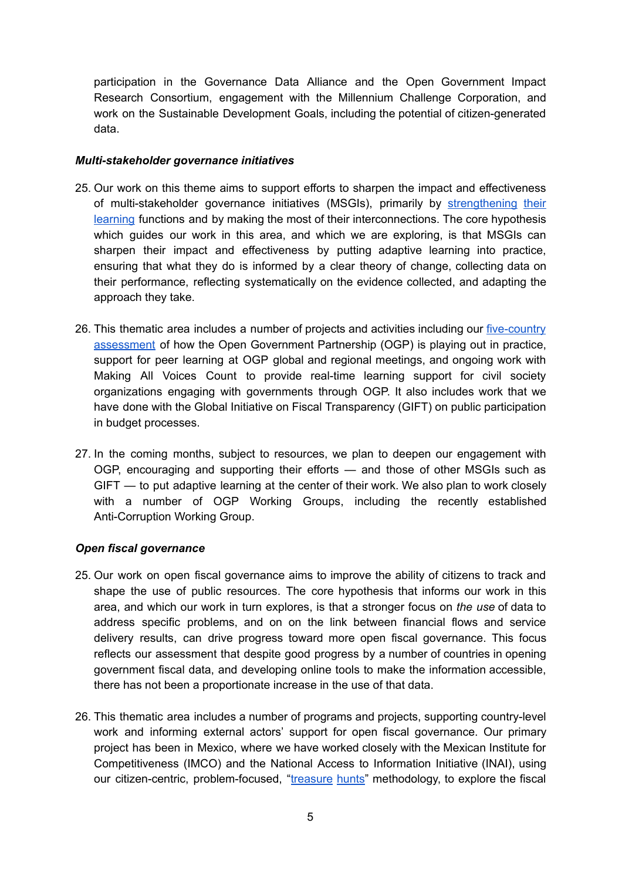participation in the Governance Data Alliance and the Open Government Impact Research Consortium, engagement with the Millennium Challenge Corporation, and work on the Sustainable Development Goals, including the potential of citizen-generated data.

#### *Multistakeholder governance initiatives*

- 25. Our work on this theme aims to support efforts to sharpen the impact and effectiveness of multi-stakeholder governance initiatives (MSGIs), primarily by [strengthening](https://www.globalintegrity.org/posts/governance-in-context-putting-principles-into-practice/) their [learning](https://www.globalintegrity.org/posts/governance-in-context-putting-principles-into-practice/) functions and by making the most of their interconnections. The core hypothesis which guides our work in this area, and which we are exploring, is that MSGIs can sharpen their impact and effectiveness by putting adaptive learning into practice, ensuring that what they do is informed by a clear theory of change, collecting data on their performance, reflecting systematically on the evidence collected, and adapting the approach they take.
- 26. This thematic area includes a number of projects and activities including our five-country [assessment](http://www.globalintegrity.org/2016/06/learning-open-government-new-evidence-inform-ogps-efforts-make-change-happen/) of how the Open Government Partnership (OGP) is playing out in practice, support for peer learning at OGP global and regional meetings, and ongoing work with Making All Voices Count to provide real-time learning support for civil society organizations engaging with governments through OGP. It also includes work that we have done with the Global Initiative on Fiscal Transparency (GIFT) on public participation in budget processes.
- 27. In the coming months, subject to resources, we plan to deepen our engagement with OGP, encouraging and supporting their efforts — and those of other MSGIs such as GIFT — to put adaptive learning at the center of their work. We also plan to work closely with a number of OGP Working Groups, including the recently established Anti-Corruption Working Group.

#### *Open fiscal governance*

- 25. Our work on open fiscal governance aims to improve the ability of citizens to track and shape the use of public resources. The core hypothesis that informs our work in this area, and which our work in turn explores, is that a stronger focus on *the use* of data to address specific problems, and on on the link between financial flows and service delivery results, can drive progress toward more open fiscal governance. This focus reflects our assessment that despite good progress by a number of countries in opening government fiscal data, and developing online tools to make the information accessible, there has not been a proportionate increase in the use of that data.
- 26. This thematic area includes a number of programs and projects, supporting countrylevel work and informing external actors' support for open fiscal governance. Our primary project has been in Mexico, where we have worked closely with the Mexican Institute for Competitiveness (IMCO) and the National Access to Information Initiative (INAI), using our citizen-centric, problem-focused, ["treasure](https://www.globalintegrity.org/2015/10/follow-the-money-putting-people-problems-first/) hunts" methodology, to explore the fiscal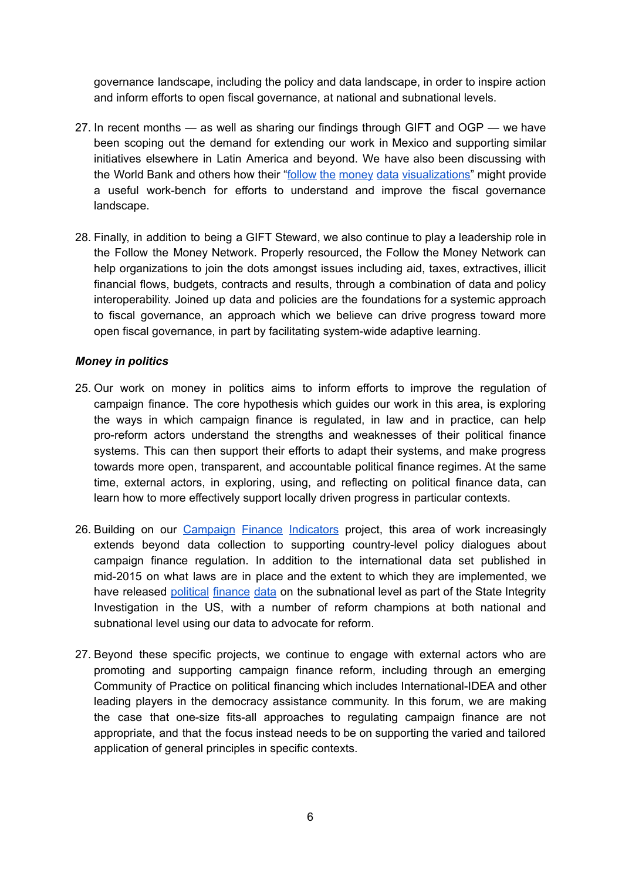governance landscape, including the policy and data landscape, in order to inspire action and inform efforts to open fiscal governance, at national and subnational levels.

- 27. In recent months as well as sharing our findings through GIFT and OGP we have been scoping out the demand for extending our work in Mexico and supporting similar initiatives elsewhere in Latin America and beyond. We have also been discussing with the World Bank and others how their "follow the money data [visualizations"](http://jedmiller.com/share-love-share-data-follow-money/) might provide a useful work-bench for efforts to understand and improve the fiscal governance landscape.
- 28. Finally, in addition to being a GIFT Steward, we also continue to play a leadership role in the Follow the Money Network. Properly resourced, the Follow the Money Network can help organizations to join the dots amongst issues including aid, taxes, extractives, illicit financial flows, budgets, contracts and results, through a combination of data and policy interoperability. Joined up data and policies are the foundations for a systemic approach to fiscal governance, an approach which we believe can drive progress toward more open fiscal governance, in part by facilitating systemwide adaptive learning.

### *Money in politics*

- 25. Our work on money in politics aims to inform efforts to improve the regulation of campaign finance. The core hypothesis which guides our work in this area, is exploring the ways in which campaign finance is regulated, in law and in practice, can help proreform actors understand the strengths and weaknesses of their political finance systems. This can then support their efforts to adapt their systems, and make progress towards more open, transparent, and accountable political finance regimes. At the same time, external actors, in exploring, using, and reflecting on political finance data, can learn how to more effectively support locally driven progress in particular contexts.
- 26. Building on our [Campaign](https://data.moneypoliticstransparency.org/) Finance Indicators project, this area of work increasingly extends beyond data collection to supporting country-level policy dialogues about campaign finance regulation. In addition to the international data set published in mid-2015 on what laws are in place and the extent to which they are implemented, we have released [political](http://www.publicintegrity.org/2015/11/09/18822/how-does-your-state-rank-integrity) finance data on the subnational level as part of the State Integrity Investigation in the US, with a number of reform champions at both national and subnational level using our data to advocate for reform.
- 27. Beyond these specific projects, we continue to engage with external actors who are promoting and supporting campaign finance reform, including through an emerging Community of Practice on political financing which includes International-IDEA and other leading players in the democracy assistance community. In this forum, we are making the case that one-size fits-all approaches to regulating campaign finance are not appropriate, and that the focus instead needs to be on supporting the varied and tailored application of general principles in specific contexts.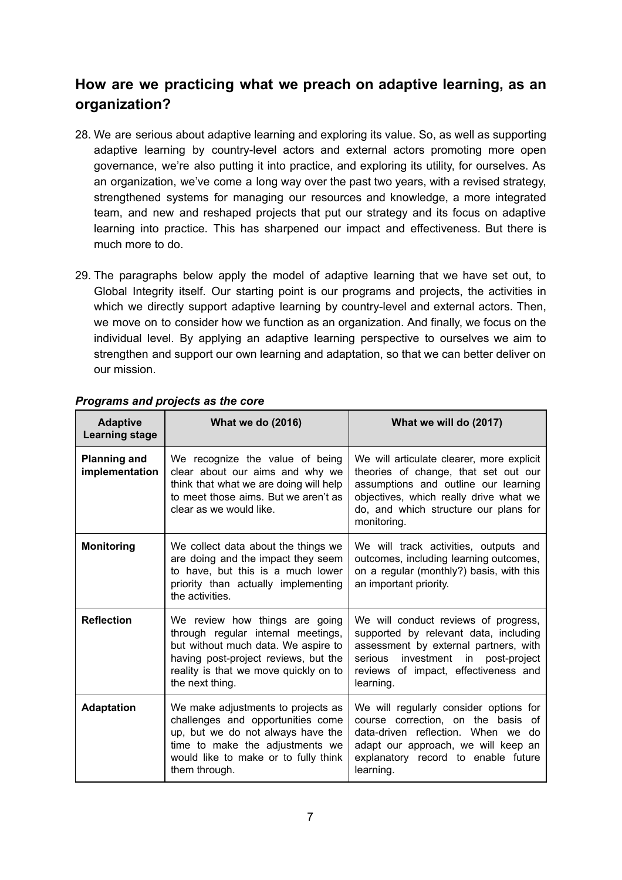# **How are we practicing what we preach on adaptive learning, as an organization?**

- 28. We are serious about adaptive learning and exploring its value. So, as well as supporting adaptive learning by country-level actors and external actors promoting more open governance, we're also putting it into practice, and exploring its utility, for ourselves. As an organization, we've come a long way over the past two years, with a revised strategy, strengthened systems for managing our resources and knowledge, a more integrated team, and new and reshaped projects that put our strategy and its focus on adaptive learning into practice. This has sharpened our impact and effectiveness. But there is much more to do.
- 29. The paragraphs below apply the model of adaptive learning that we have set out, to Global Integrity itself. Our starting point is our programs and projects, the activities in which we directly support adaptive learning by country-level and external actors. Then, we move on to consider how we function as an organization. And finally, we focus on the individual level. By applying an adaptive learning perspective to ourselves we aim to strengthen and support our own learning and adaptation, so that we can better deliver on our mission.

| <b>Adaptive</b><br><b>Learning stage</b> | <b>What we do (2016)</b>                                                                                                                                                                                        | What we will do (2017)                                                                                                                                                                                                      |
|------------------------------------------|-----------------------------------------------------------------------------------------------------------------------------------------------------------------------------------------------------------------|-----------------------------------------------------------------------------------------------------------------------------------------------------------------------------------------------------------------------------|
| <b>Planning and</b><br>implementation    | We recognize the value of being<br>clear about our aims and why we<br>think that what we are doing will help<br>to meet those aims. But we aren't as<br>clear as we would like.                                 | We will articulate clearer, more explicit<br>theories of change, that set out our<br>assumptions and outline our learning<br>objectives, which really drive what we<br>do, and which structure our plans for<br>monitoring. |
| <b>Monitoring</b>                        | We collect data about the things we<br>are doing and the impact they seem<br>to have, but this is a much lower<br>priority than actually implementing<br>the activities.                                        | We will track activities, outputs and<br>outcomes, including learning outcomes,<br>on a regular (monthly?) basis, with this<br>an important priority.                                                                       |
| <b>Reflection</b>                        | We review how things are going<br>through regular internal meetings,<br>but without much data. We aspire to<br>having post-project reviews, but the<br>reality is that we move quickly on to<br>the next thing. | We will conduct reviews of progress,<br>supported by relevant data, including<br>assessment by external partners, with<br>investment in post-project<br>serious<br>reviews of impact, effectiveness and<br>learning.        |
| <b>Adaptation</b>                        | We make adjustments to projects as<br>challenges and opportunities come<br>up, but we do not always have the<br>time to make the adjustments we<br>would like to make or to fully think<br>them through.        | We will regularly consider options for<br>course correction, on the basis of<br>data-driven reflection. When we do<br>adapt our approach, we will keep an<br>explanatory record to enable future<br>learning.               |

### *Programs and projects as the core*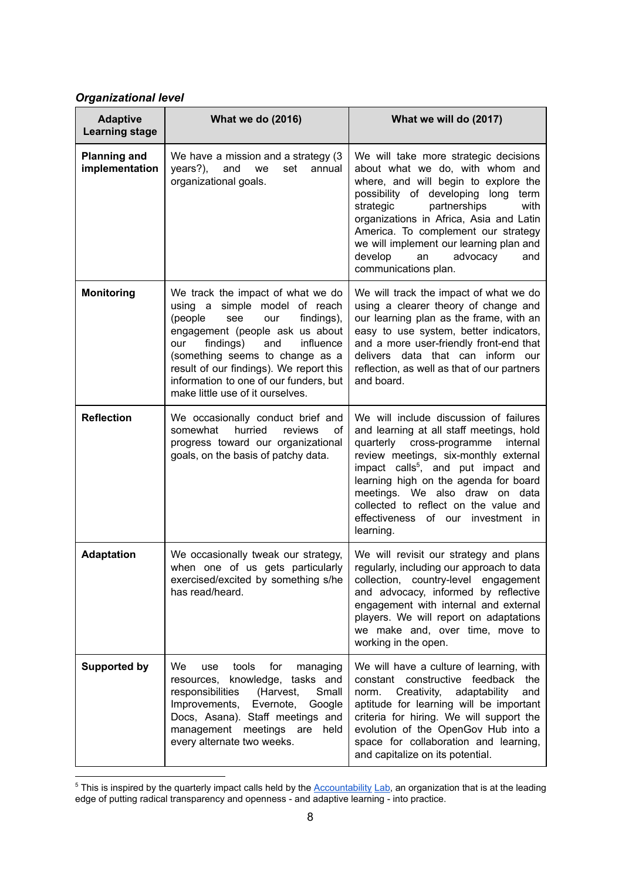### *Organizational level*

| <b>Adaptive</b><br><b>Learning stage</b> | <b>What we do (2016)</b>                                                                                                                                                                                                                                                                                                                         | What we will do (2017)                                                                                                                                                                                                                                                                                                                                                                        |  |
|------------------------------------------|--------------------------------------------------------------------------------------------------------------------------------------------------------------------------------------------------------------------------------------------------------------------------------------------------------------------------------------------------|-----------------------------------------------------------------------------------------------------------------------------------------------------------------------------------------------------------------------------------------------------------------------------------------------------------------------------------------------------------------------------------------------|--|
| <b>Planning and</b><br>implementation    | We have a mission and a strategy (3)<br>years?),<br>and<br>we<br>set<br>annual<br>organizational goals.                                                                                                                                                                                                                                          | We will take more strategic decisions<br>about what we do, with whom and<br>where, and will begin to explore the<br>possibility of developing long<br>term<br>strategic<br>partnerships<br>with<br>organizations in Africa, Asia and Latin<br>America. To complement our strategy<br>we will implement our learning plan and<br>develop<br>advocacy<br>and<br>an<br>communications plan.      |  |
| <b>Monitoring</b>                        | We track the impact of what we do<br>using a simple model of reach<br>(people<br>findings),<br>see<br>our<br>engagement (people ask us about<br>findings)<br>and<br>influence<br>our<br>(something seems to change as a<br>result of our findings). We report this<br>information to one of our funders, but<br>make little use of it ourselves. | We will track the impact of what we do<br>using a clearer theory of change and<br>our learning plan as the frame, with an<br>easy to use system, better indicators,<br>and a more user-friendly front-end that<br>delivers data that can inform our<br>reflection, as well as that of our partners<br>and board.                                                                              |  |
| <b>Reflection</b>                        | We occasionally conduct brief and<br>somewhat<br>hurried<br>reviews<br>οf<br>progress toward our organizational<br>goals, on the basis of patchy data.                                                                                                                                                                                           | We will include discussion of failures<br>and learning at all staff meetings, hold<br>quarterly cross-programme<br>internal<br>review meetings, six-monthly external<br>impact calls <sup>5</sup> , and put impact and<br>learning high on the agenda for board<br>meetings. We also draw on data<br>collected to reflect on the value and<br>effectiveness of our investment in<br>learning. |  |
| <b>Adaptation</b>                        | We occasionally tweak our strategy,<br>when one of us gets particularly<br>exercised/excited by something s/he<br>has read/heard.                                                                                                                                                                                                                | We will revisit our strategy and plans<br>regularly, including our approach to data<br>collection, country-level engagement<br>and advocacy, informed by reflective<br>engagement with internal and external<br>players. We will report on adaptations<br>we make and, over time, move to<br>working in the open.                                                                             |  |
| <b>Supported by</b>                      | We<br>tools<br>for<br>use<br>managing<br>knowledge, tasks and<br>resources,<br>(Harvest,<br>responsibilities<br>Small<br>Improvements,<br>Evernote,<br>Google<br>Docs, Asana). Staff meetings and<br>management<br>meetings are<br>held<br>every alternate two weeks.                                                                            | We will have a culture of learning, with<br>constant constructive feedback the<br>Creativity,<br>adaptability<br>norm.<br>and<br>aptitude for learning will be important<br>criteria for hiring. We will support the<br>evolution of the OpenGov Hub into a<br>space for collaboration and learning,<br>and capitalize on its potential.                                                      |  |

 $5$  This is inspired by the quarterly impact calls held by the  $Accountability$  Lab, an organization that is at the leading edge of putting radical transparency and openness - and adaptive learning - into practice.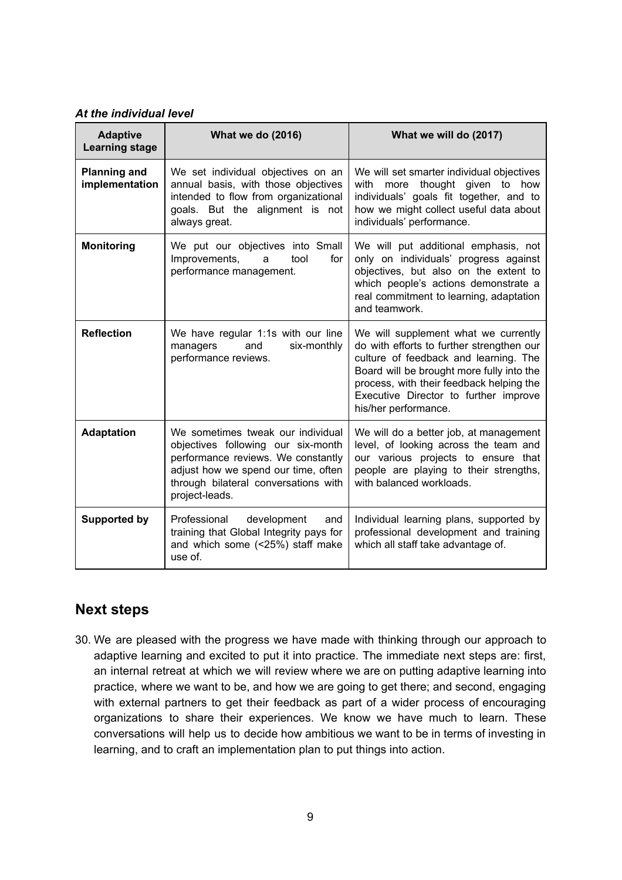#### *At the individual level*

| <b>Adaptive</b><br><b>Learning stage</b> | <b>What we do (2016)</b>                                                                                                                                                                                       | What we will do (2017)                                                                                                                                                                                                                                                               |  |
|------------------------------------------|----------------------------------------------------------------------------------------------------------------------------------------------------------------------------------------------------------------|--------------------------------------------------------------------------------------------------------------------------------------------------------------------------------------------------------------------------------------------------------------------------------------|--|
| <b>Planning and</b><br>implementation    | We set individual objectives on an<br>annual basis, with those objectives<br>intended to flow from organizational<br>goals. But the alignment is not<br>always great.                                          | We will set smarter individual objectives<br>thought given to<br>with<br>how<br>more<br>individuals' goals fit together, and to<br>how we might collect useful data about<br>individuals' performance.                                                                               |  |
| <b>Monitoring</b>                        | We put our objectives into Small<br>Improvements,<br>tool<br>for<br>a<br>performance management.                                                                                                               | We will put additional emphasis, not<br>only on individuals' progress against<br>objectives, but also on the extent to<br>which people's actions demonstrate a<br>real commitment to learning, adaptation<br>and teamwork.                                                           |  |
| <b>Reflection</b>                        | We have regular 1:1s with our line<br>six-monthly<br>and<br>managers<br>performance reviews.                                                                                                                   | We will supplement what we currently<br>do with efforts to further strengthen our<br>culture of feedback and learning. The<br>Board will be brought more fully into the<br>process, with their feedback helping the<br>Executive Director to further improve<br>his/her performance. |  |
| <b>Adaptation</b>                        | We sometimes tweak our individual<br>objectives following our six-month<br>performance reviews. We constantly<br>adjust how we spend our time, often<br>through bilateral conversations with<br>project-leads. | We will do a better job, at management<br>level, of looking across the team and<br>our various projects to ensure that<br>people are playing to their strengths,<br>with balanced workloads.                                                                                         |  |
| <b>Supported by</b>                      | Professional<br>development<br>and<br>training that Global Integrity pays for<br>and which some (<25%) staff make<br>use of.                                                                                   | Individual learning plans, supported by<br>professional development and training<br>which all staff take advantage of.                                                                                                                                                               |  |

### **Next steps**

30. We are pleased with the progress we have made with thinking through our approach to adaptive learning and excited to put it into practice. The immediate next steps are: first, an internal retreat at which we will review where we are on putting adaptive learning into practice, where we want to be, and how we are going to get there; and second, engaging with external partners to get their feedback as part of a wider process of encouraging organizations to share their experiences. We know we have much to learn. These conversations will help us to decide how ambitious we want to be in terms of investing in learning, and to craft an implementation plan to put things into action.